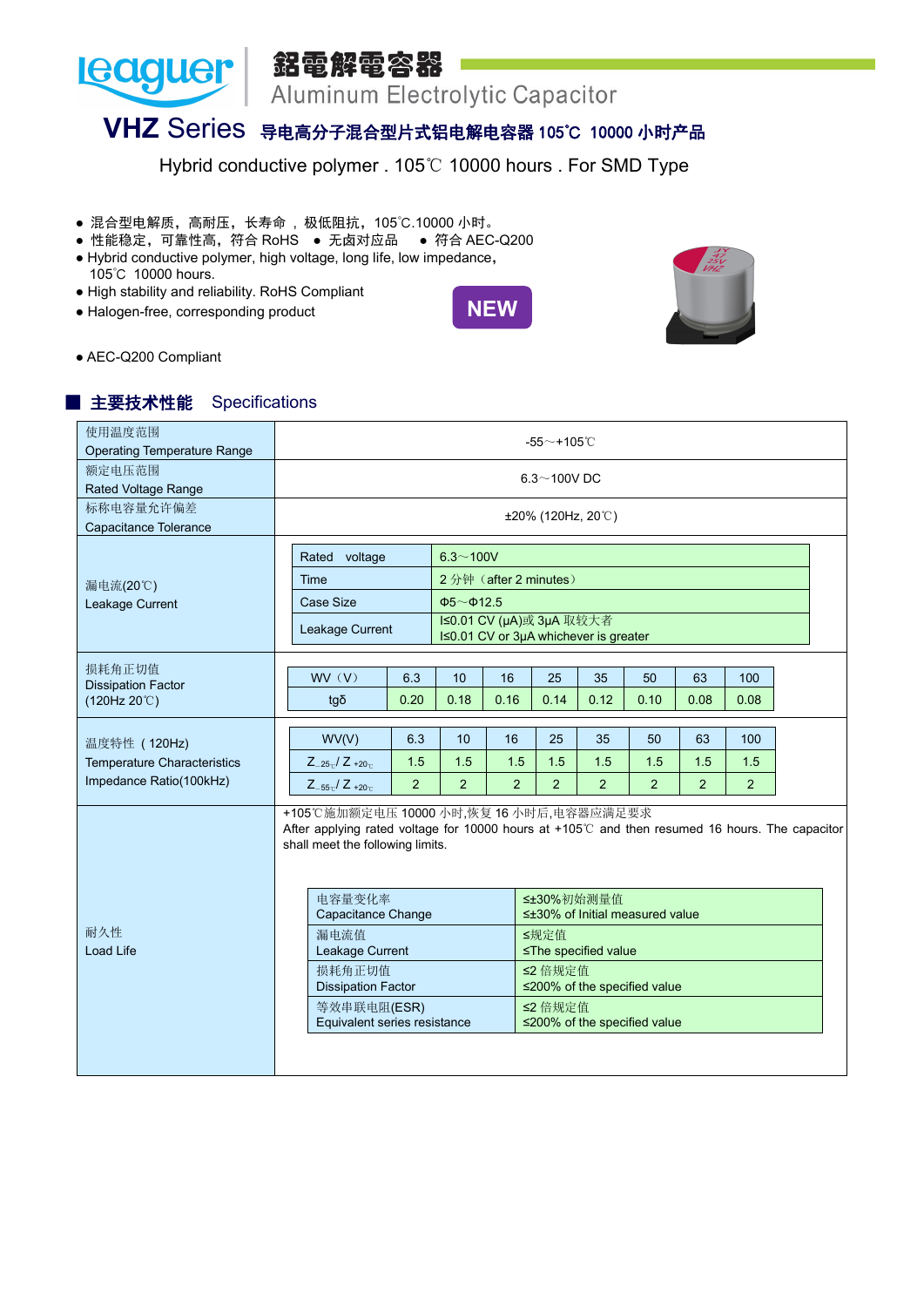

# **VHZ** Series 导电高分子混合型片式铝电解电容器 105℃ <sup>10000</sup> 小时产品

Hybrid conductive polymer . 105℃ 10000 hours . For SMD Type

- 混合型电解质,高耐压,长寿命 , 极低阻抗,105℃.10000 小时。
- 性能稳定,可靠性高,符合 RoHS 无卤对应品 符合 AEC-Q200
- Hybrid conductive polymer, high voltage, long life, low impedance, 105℃ 10000 hours.
- High stability and reliability. RoHS Compliant
- Halogen-free, corresponding product





● AEC-Q200 Compliant

#### ■ 主要技术性能 Specifications

| 使用温度范围<br><b>Operating Temperature Range</b>                                  |                                                                                                                                                                                                                                                                                                                                |                                                                                                                                     |                             |                             | -55 $\sim$ +105 $^\circ$ C  |                                                                                                                                                 |                             |                             |                              |  |
|-------------------------------------------------------------------------------|--------------------------------------------------------------------------------------------------------------------------------------------------------------------------------------------------------------------------------------------------------------------------------------------------------------------------------|-------------------------------------------------------------------------------------------------------------------------------------|-----------------------------|-----------------------------|-----------------------------|-------------------------------------------------------------------------------------------------------------------------------------------------|-----------------------------|-----------------------------|------------------------------|--|
| 额定电压范围<br>Rated Voltage Range                                                 |                                                                                                                                                                                                                                                                                                                                |                                                                                                                                     |                             |                             | $6.3\sim$ 100V DC           |                                                                                                                                                 |                             |                             |                              |  |
| 标称电容量允许偏差<br>Capacitance Tolerance                                            |                                                                                                                                                                                                                                                                                                                                |                                                                                                                                     |                             |                             | $±20\%$ (120Hz, 20°C)       |                                                                                                                                                 |                             |                             |                              |  |
| 漏电流(20℃)<br>Leakage Current                                                   | Rated voltage<br>Time<br>Case Size<br>Leakage Current                                                                                                                                                                                                                                                                          | $6.3 - 100V$<br>2分钟 (after 2 minutes)<br>$\Phi$ 5~ $\Phi$ 12.5<br>I≤0.01 CV (µA)或 3µA 取较大者<br>I≤0.01 CV or 3µA whichever is greater |                             |                             |                             |                                                                                                                                                 |                             |                             |                              |  |
| 损耗角正切值<br><b>Dissipation Factor</b><br>(120Hz 20°C)                           | WV(V)<br>tgδ                                                                                                                                                                                                                                                                                                                   | 6.3<br>0.20                                                                                                                         | 10<br>0.18                  | 16<br>0.16                  | 25<br>0.14                  | 35<br>0.12                                                                                                                                      | 50<br>0.10                  | 63<br>0.08                  | 100<br>0.08                  |  |
| 温度特性 (120Hz)<br><b>Temperature Characteristics</b><br>Impedance Ratio(100kHz) | WV(V)<br>$Z_{-25}C$ / $Z_{+20}C$<br>$Z_{-55}$ <sub>c</sub> / $Z_{+20}$ <sub>c</sub>                                                                                                                                                                                                                                            | 6.3<br>1.5<br>2                                                                                                                     | 10<br>1.5<br>$\overline{2}$ | 16<br>1.5<br>$\overline{2}$ | 25<br>1.5<br>$\overline{2}$ | 35<br>1.5<br>2                                                                                                                                  | 50<br>1.5<br>$\overline{2}$ | 63<br>1.5<br>$\overline{2}$ | 100<br>1.5<br>$\overline{2}$ |  |
| 耐久性<br>Load Life                                                              | +105℃施加额定电压 10000 小时,恢复 16 小时后,电容器应满足要求<br>After applying rated voltage for 10000 hours at +105℃ and then resumed 16 hours. The capacitor<br>shall meet the following limits.<br>电容量变化率<br>Capacitance Change<br>漏电流值<br>Leakage Current<br>损耗角正切值<br><b>Dissipation Factor</b><br>等效串联电阻(ESR)<br>Equivalent series resistance |                                                                                                                                     |                             |                             | ≤规定值<br>≤2 倍规定值<br>≤2 倍规定值  | ≤±30%初始测量值<br>$\leq \pm 30\%$ of Initial measured value<br>≤The specified value<br>≤200% of the specified value<br>≤200% of the specified value |                             |                             |                              |  |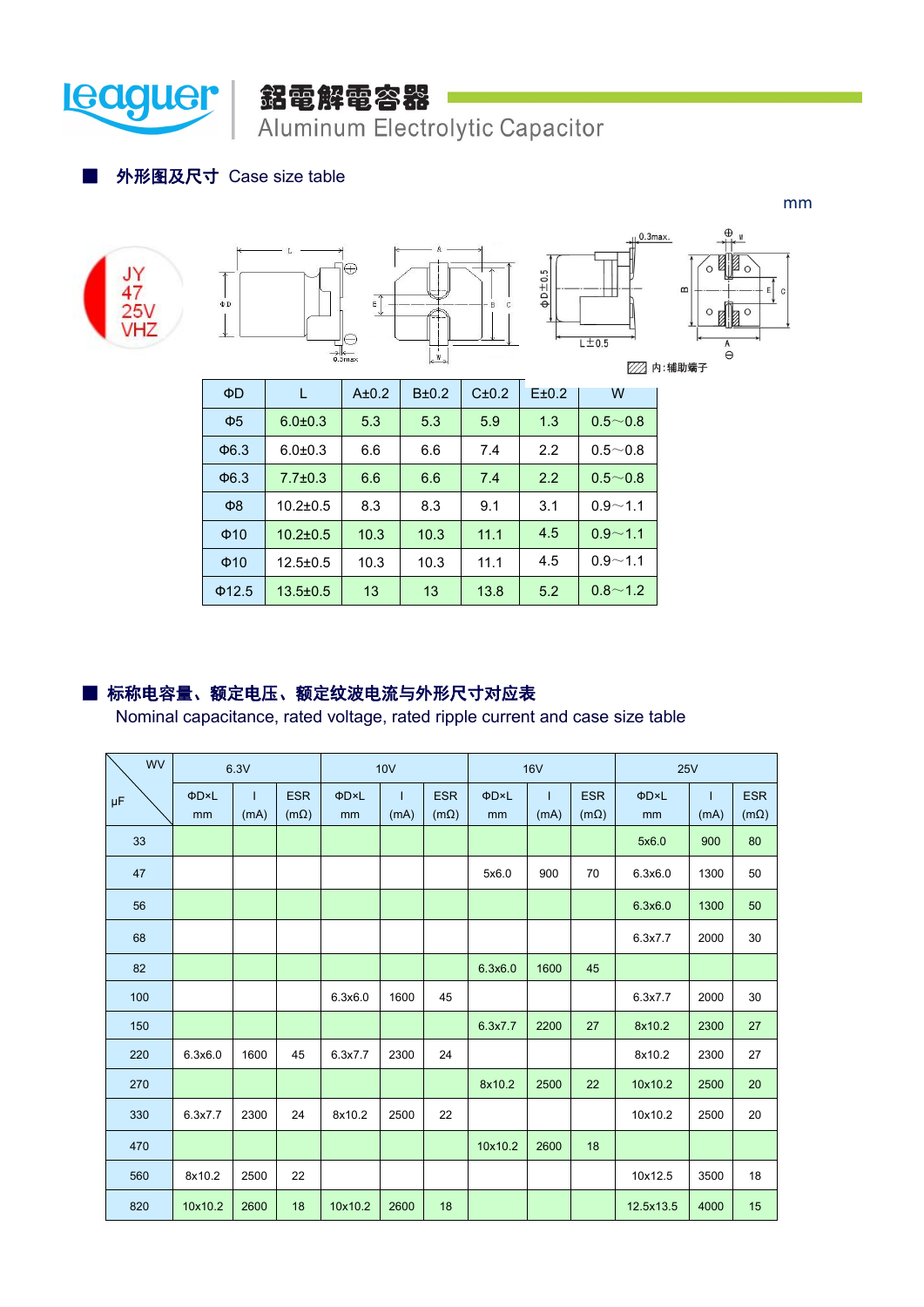

## 鋁電解電容器 Aluminum Electrolytic Capacitor

#### ■ 外形图及尺寸 Case size table







| $\Phi$ D    | L              | A±0.2 | $B\pm0.2$ | C±0.2 | E±0.2 | W           |
|-------------|----------------|-------|-----------|-------|-------|-------------|
| $\Phi$ 5    | $6.0 \pm 0.3$  | 5.3   | 5.3       | 5.9   | 1.3   | $0.5 - 0.8$ |
| $\Phi$ 6.3  | $6.0 + 0.3$    | 6.6   | 6.6       | 7.4   | 2.2   | $0.5 - 0.8$ |
| $\Phi$ 6.3  | $7.7 \pm 0.3$  | 6.6   | 6.6       | 7.4   | 2.2   | $0.5 - 0.8$ |
| $\Phi$ 8    | $10.2 \pm 0.5$ | 8.3   | 8.3       | 9.1   | 3.1   | $0.9 - 1.1$ |
| $\Phi$ 10   | $10.2 \pm 0.5$ | 10.3  | 10.3      | 11.1  | 4.5   | $0.9 - 1.1$ |
| $\Phi$ 10   | $12.5 \pm 0.5$ | 10.3  | 10.3      | 11.1  | 4.5   | $0.9 - 1.1$ |
| $\Phi$ 12.5 | $13.5 \pm 0.5$ | 13    | 13        | 13.8  | 5.2   | $0.8 - 1.2$ |

#### ■ 标称电容量、额定电压、额定纹波电流与外形尺寸对应表

Nominal capacitance, rated voltage, rated ripple current and case size table

| N<br><b>WV</b> |         | 6.3V |             | 10V     |      |             |         | <b>16V</b>   |             | <b>25V</b> |              |             |  |
|----------------|---------|------|-------------|---------|------|-------------|---------|--------------|-------------|------------|--------------|-------------|--|
| $\mu\text{F}$  | ΦD×L    |      | <b>ESR</b>  | ΦD×L    |      | <b>ESR</b>  | ΦD×L    | $\mathbf{I}$ | <b>ESR</b>  | ΦD×L       | $\mathbf{I}$ | <b>ESR</b>  |  |
|                | mm      | (mA) | $(m\Omega)$ | mm      | (mA) | $(m\Omega)$ | mm      | (mA)         | $(m\Omega)$ | mm         | (mA)         | $(m\Omega)$ |  |
| 33             |         |      |             |         |      |             |         |              |             | 5x6.0      | 900          | 80          |  |
| 47             |         |      |             |         |      |             | 5x6.0   | 900          | 70          | 6.3x6.0    | 1300         | 50          |  |
| 56             |         |      |             |         |      |             |         |              |             | 6.3x6.0    | 1300         | 50          |  |
| 68             |         |      |             |         |      |             |         |              |             | 6.3x7.7    | 2000         | 30          |  |
| 82             |         |      |             |         |      |             | 6.3x6.0 | 1600         | 45          |            |              |             |  |
| 100            |         |      |             | 6.3x6.0 | 1600 | 45          |         |              |             | 6.3x7.7    | 2000         | 30          |  |
| 150            |         |      |             |         |      |             | 6.3x7.7 | 2200         | 27          | 8x10.2     | 2300         | 27          |  |
| 220            | 6.3x6.0 | 1600 | 45          | 6.3x7.7 | 2300 | 24          |         |              |             | 8x10.2     | 2300         | 27          |  |
| 270            |         |      |             |         |      |             | 8x10.2  | 2500         | 22          | 10x10.2    | 2500         | 20          |  |
| 330            | 6.3x7.7 | 2300 | 24          | 8x10.2  | 2500 | 22          |         |              |             | 10x10.2    | 2500         | 20          |  |
| 470            |         |      |             |         |      |             | 10x10.2 | 2600         | 18          |            |              |             |  |
| 560            | 8x10.2  | 2500 | 22          |         |      |             |         |              |             | 10x12.5    | 3500         | 18          |  |
| 820            | 10x10.2 | 2600 | 18          | 10x10.2 | 2600 | 18          |         |              |             | 12.5x13.5  | 4000         | 15          |  |

mm